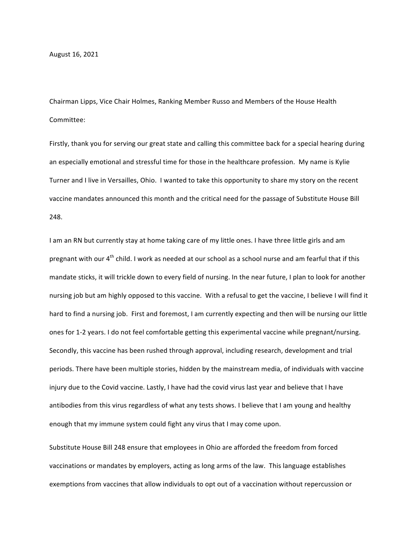Chairman Lipps, Vice Chair Holmes, Ranking Member Russo and Members of the House Health Committee:

Firstly, thank you for serving our great state and calling this committee back for a special hearing during an especially emotional and stressful time for those in the healthcare profession. My name is Kylie Turner and I live in Versailles, Ohio. I wanted to take this opportunity to share my story on the recent vaccine mandates announced this month and the critical need for the passage of Substitute House Bill 248.

I am an RN but currently stay at home taking care of my little ones. I have three little girls and am pregnant with our  $4<sup>th</sup>$  child. I work as needed at our school as a school nurse and am fearful that if this mandate sticks, it will trickle down to every field of nursing. In the near future, I plan to look for another nursing job but am highly opposed to this vaccine. With a refusal to get the vaccine, I believe I will find it hard to find a nursing job. First and foremost, I am currently expecting and then will be nursing our little ones for 1-2 years. I do not feel comfortable getting this experimental vaccine while pregnant/nursing. Secondly, this vaccine has been rushed through approval, including research, development and trial periods. There have been multiple stories, hidden by the mainstream media, of individuals with vaccine injury due to the Covid vaccine. Lastly, I have had the covid virus last year and believe that I have antibodies from this virus regardless of what any tests shows. I believe that I am young and healthy enough that my immune system could fight any virus that I may come upon.

Substitute House Bill 248 ensure that employees in Ohio are afforded the freedom from forced vaccinations or mandates by employers, acting as long arms of the law. This language establishes exemptions from vaccines that allow individuals to opt out of a vaccination without repercussion or